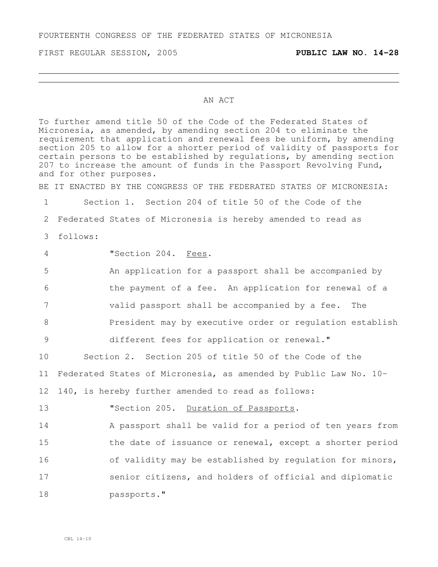FOURTEENTH CONGRESS OF THE FEDERATED STATES OF MICRONESIA

FIRST REGULAR SESSION, 2005 **PUBLIC LAW NO. 14-28**

## AN ACT

To further amend title 50 of the Code of the Federated States of Micronesia, as amended, by amending section 204 to eliminate the requirement that application and renewal fees be uniform, by amending section 205 to allow for a shorter period of validity of passports for certain persons to be established by regulations, by amending section 207 to increase the amount of funds in the Passport Revolving Fund, and for other purposes. BE IT ENACTED BY THE CONGRESS OF THE FEDERATED STATES OF MICRONESIA: 1 Section 1. Section 204 of title 50 of the Code of the 2 Federated States of Micronesia is hereby amended to read as 3 follows: 4 "Section 204. Fees. 5 An application for a passport shall be accompanied by 6 the payment of a fee. An application for renewal of a 7 valid passport shall be accompanied by a fee. The 8 President may by executive order or regulation establish 9 different fees for application or renewal." 10 Section 2. Section 205 of title 50 of the Code of the 11 Federated States of Micronesia, as amended by Public Law No. 10- 12 140, is hereby further amended to read as follows: 13 **"Section 205.** Duration of Passports. 14 A passport shall be valid for a period of ten years from 15 the date of issuance or renewal, except a shorter period 16 of validity may be established by regulation for minors, 17 senior citizens, and holders of official and diplomatic 18 passports."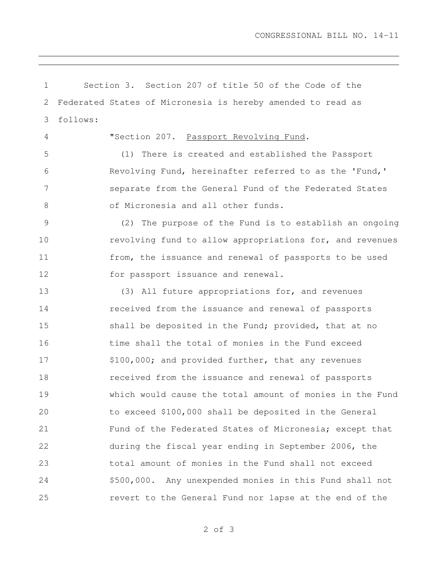Section 3. Section 207 of title 50 of the Code of the Federated States of Micronesia is hereby amended to read as follows: "Section 207. Passport Revolving Fund. (1) There is created and established the Passport Revolving Fund, hereinafter referred to as the 'Fund,' separate from the General Fund of the Federated States 8 of Micronesia and all other funds. (2) The purpose of the Fund is to establish an ongoing revolving fund to allow appropriations for, and revenues from, the issuance and renewal of passports to be used 12 for passport issuance and renewal. (3) All future appropriations for, and revenues received from the issuance and renewal of passports 15 shall be deposited in the Fund; provided, that at no time shall the total of monies in the Fund exceed 17 \$100,000; and provided further, that any revenues received from the issuance and renewal of passports which would cause the total amount of monies in the Fund to exceed \$100,000 shall be deposited in the General Fund of the Federated States of Micronesia; except that during the fiscal year ending in September 2006, the total amount of monies in the Fund shall not exceed \$500,000. Any unexpended monies in this Fund shall not revert to the General Fund nor lapse at the end of the

of 3